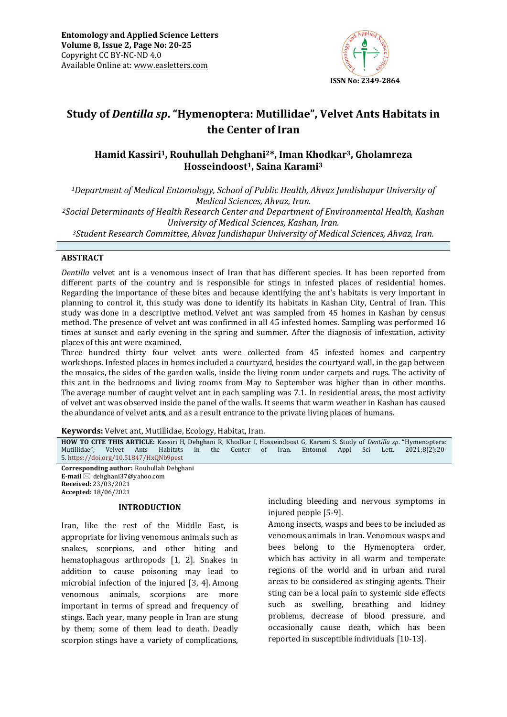

# **Study of** *Dentilla sp***. "Hymenoptera: Mutillidae", Velvet Ants Habitats in the Center of Iran**

# **Hamid Kassiri1, Rouhullah Dehghani2\*, Iman Khodkar3, Gholamreza Hosseindoost1, Saina Karami<sup>3</sup>**

*<sup>1</sup>Department of Medical Entomology, School of Public Health, Ahvaz Jundishapur University of Medical Sciences, Ahvaz, Iran. <sup>2</sup>Social Determinants of Health Research Center and Department of Environmental Health, Kashan University of Medical Sciences, Kashan, Iran. <sup>3</sup>Student Research Committee, Ahvaz Jundishapur University of Medical Sciences, Ahvaz, Iran.*

### **ABSTRACT**

*Dentilla* velvet ant is a venomous insect of Iran that has different species. It has been reported from different parts of the country and is responsible for stings in infested places of residential homes. Regarding the importance of these bites and because identifying the ant's habitats is very important in planning to control it, this study was done to identify its habitats in Kashan City, Central of Iran. This study was done in a descriptive method. Velvet ant was sampled from 45 homes in Kashan by census method. The presence of velvet ant was confirmed in all 45 infested homes. Sampling was performed 16 times at sunset and early evening in the spring and summer. After the diagnosis of infestation, activity places of this ant were examined.

Three hundred thirty four velvet ants were collected from 45 infested homes and carpentry workshops. Infested places in homes included a courtyard, besides the courtyard wall, in the gap between the mosaics, the sides of the garden walls, inside the living room under carpets and rugs. The activity of this ant in the bedrooms and living rooms from May to September was higher than in other months. The average number of caught velvet ant in each sampling was 7.1. In residential areas, the most activity of velvet ant was observed inside the panel of the walls. It seems that warm weather in Kashan has caused the abundance of velvet ant**s**, and as a result entrance to the private living places of humans.

**Keywords:** Velvet ant, Mutillidae, Ecology, Habitat, Iran*.*

**HOW TO CITE THIS ARTICLE:** Kassiri H, Dehghani R, Khodkar I, Hosseindoost G, Karami S. Study of *Dentilla sp*. "Hymenoptera: Mutillidae", Velvet Ants Habitats in the Center of Iran. Entomol Appl Sci Lett. 2021;8(2):20- 5. <https://doi.org/10.51847/HxQNb9pest>

**Corresponding author:** Rouhullah Dehghani **E-mail** ⊠ dehghani37@yahoo.com **Received:** 23/03/2021 **Accepted:** 18/06/2021

### **INTRODUCTION**

Iran, like the rest of the Middle East, is appropriate for living venomous animals such as snakes, scorpions, and other biting and hematophagous arthropods [1, 2]. Snakes in addition to cause poisoning may lead to microbial infection of the injured [3, 4]. Among venomous animals, scorpions are more important in terms of spread and frequency of stings. Each year, many people in Iran are stung by them; some of them lead to death. Deadly scorpion stings have a variety of complications, including bleeding and nervous symptoms in injured people [5-9].

Among insects, wasps and bees to be included as venomous animals in Iran. Venomous wasps and bees belong to the Hymenoptera order, which has activity in all warm and temperate regions of the world and in urban and rural areas to be considered as stinging agents. Their sting can be a local pain to systemic side effects such as swelling, breathing and kidney problems, decrease of blood pressure, and occasionally cause death, which has been reported in susceptible individuals [10-13].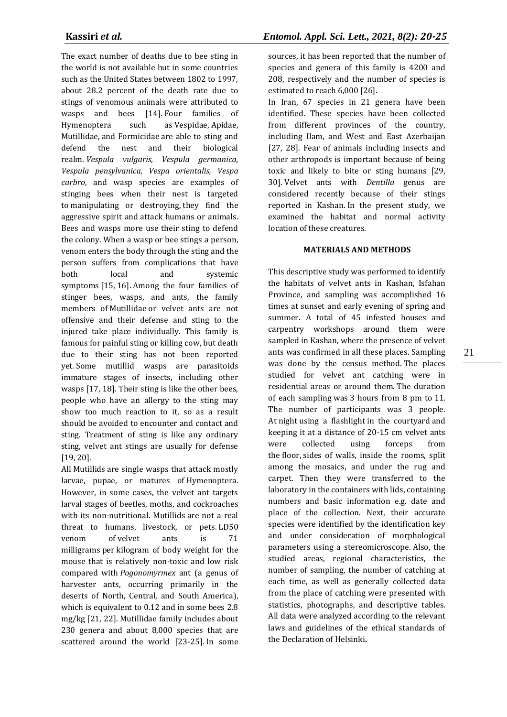The exact number of deaths due to bee sting in the world is not available but in some countries such as the United States between 1802 to 1997, about 28.2 percent of the death rate due to stings of venomous animals were attributed to wasps and bees [14]. Four families of Hymenoptera such as Vespidae, Apidae, Mutillidae, and Formicidae are able to sting and defend the nest and their biological realm. *Vespula vulgaris, Vespula germanica, Vespula pensylvanica, Vespa orientalis, Vespa carbro*, and wasp species are examples of stinging bees when their nest is targeted to manipulating or destroying, they find the aggressive spirit and attack humans or animals. Bees and wasps more use their sting to defend the colony. When a wasp or bee stings a person, venom enters the body through the sting and the person suffers from complications that have both local and systemic symptoms [15, 16]. Among the four families of stinger bees, wasps, and ants, the family members of Mutillidae or velvet ants are not offensive and their defense and sting to the injured take place individually. This family is famous for painful sting or killing cow, but death due to their sting has not been reported yet. Some mutillid wasps are parasitoids immature stages of insects, including other wasps [17, 18]. Their sting is like the other bees, people who have an allergy to the sting may show too much reaction to it, so as a result should be avoided to encounter and contact and sting. Treatment of sting is like any ordinary sting, velvet ant stings are usually for defense [19, 20].

All Mutillids are single wasps that attack mostly larvae, pupae, or matures of Hymenoptera. However, in some cases, the velvet ant targets larval stages of beetles, moths, and cockroaches with its non-nutritional. Mutillids are not a real threat to humans, livestock, or pets. LD50 venom of velvet ants is 71 milligrams per kilogram of body weight for the mouse that is relatively non-toxic and low risk compared with *Pogonomyrmex* ant (a genus of harvester ants, occurring primarily in the deserts of North, Central, and South America), which is equivalent to 0.12 and in some bees 2.8 mg/kg [21, 22]. Mutillidae family includes about 230 genera and about 8,000 species that are scattered around the world [23-25]. In some

sources, it has been reported that the number of species and genera of this family is 4200 and 208, respectively and the number of species is estimated to reach 6,000 [26].

In Iran, 67 species in 21 genera have been identified. These species have been collected from different provinces of the country, including Ilam, and West and East Azerbaijan [27, 28]. Fear of animals including insects and other arthropods is important because of being toxic and likely to bite or sting humans [29, 30]. Velvet ants with *Dentilla* genus are considered recently because of their stings reported in Kashan. In the present study, we examined the habitat and normal activity location of these creatures.

# **MATERIALS AND METHODS**

This descriptive study was performed to identify the habitats of velvet ants in Kashan, Isfahan Province, and sampling was accomplished 16 times at sunset and early evening of spring and summer. A total of 45 infested houses and carpentry workshops around them were sampled in Kashan, where the presence of velvet ants was confirmed in all these places. Sampling was done by the census method. The places studied for velvet ant catching were in residential areas or around them. The duration of each sampling was 3 hours from 8 pm to 11. The number of participants was 3 people. At night using a flashlight in the courtyard and keeping it at a distance of 20-15 cm velvet ants were collected using forceps from the floor, sides of walls, inside the rooms, split among the mosaics, and under the rug and carpet. Then they were transferred to the laboratory in the containers with lids, containing numbers and basic information e.g. date and place of the collection. Next, their accurate species were identified by the identification key and under consideration of morphological parameters using a stereomicroscope. Also, the studied areas, regional characteristics, the number of sampling, the number of catching at each time, as well as generally collected data from the place of catching were presented with statistics, photographs, and descriptive tables. All data were analyzed according to the relevant laws and guidelines of the ethical standards of the Declaration of Helsinki**.**

21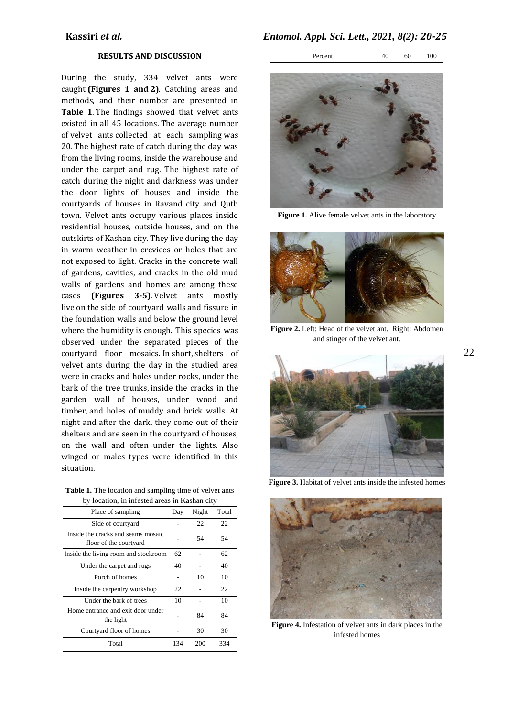### **RESULTS AND DISCUSSION**

During the study, 334 velvet ants were caught **(Figures 1 and 2)**. Catching areas and methods, and their number are presented in **Table 1**. The findings showed that velvet ants existed in all 45 locations. The average number of velvet ants collected at each sampling was 20. The highest rate of catch during the day was from the living rooms, inside the warehouse and under the carpet and rug. The highest rate of catch during the night and darkness was under the door lights of houses and inside the courtyards of houses in Ravand city and Qutb town. Velvet ants occupy various places inside residential houses, outside houses, and on the outskirts of Kashan city. They live during the day in warm weather in crevices or holes that are not exposed to light. Cracks in the concrete wall of gardens, cavities, and cracks in the old mud walls of gardens and homes are among these cases **(Figures 3-5)**. Velvet ants mostly live on the side of courtyard walls and fissure in the foundation walls and below the ground level where the humidity is enough. This species was observed under the separated pieces of the courtyard floor mosaics. In short, shelters of velvet ants during the day in the studied area were in cracks and holes under rocks, under the bark of the tree trunks, inside the cracks in the garden wall of houses, under wood and timber, and holes of muddy and brick walls. At night and after the dark, they come out of their shelters and are seen in the courtyard of houses, on the wall and often under the lights. Also winged or males types were identified in this situation.

**Table 1.** The location and sampling time of velvet ants by location, in infested areas in Kashan city

| rocauch, in infected areas in rigidian o                     |     |       |       |
|--------------------------------------------------------------|-----|-------|-------|
| Place of sampling                                            | Day | Night | Total |
| Side of courtyard                                            |     | 22    | 22    |
| Inside the cracks and seams mosaic<br>floor of the courtyard |     | 54    | 54    |
| Inside the living room and stockroom                         | 62  |       | 62    |
| Under the carpet and rugs                                    | 40  |       | 40    |
| Porch of homes                                               |     | 10    | 10    |
| Inside the carpentry workshop                                | 22  |       | 22    |
| Under the bark of trees                                      | 10  |       | 10    |
| Home entrance and exit door under<br>the light               |     | 84    | 84    |
| Courtyard floor of homes                                     |     | 30    | 30    |
| Total                                                        | 134 | 200   | 334   |

### Percent 40 60 100



Figure 1. Alive female velvet ants in the laboratory



**Figure 2.** Left: Head of the velvet ant. Right: Abdomen and stinger of the velvet ant.



**Figure 3.** Habitat of velvet ants inside the infested homes



**Figure 4.** Infestation of velvet ants in dark places in the infested homes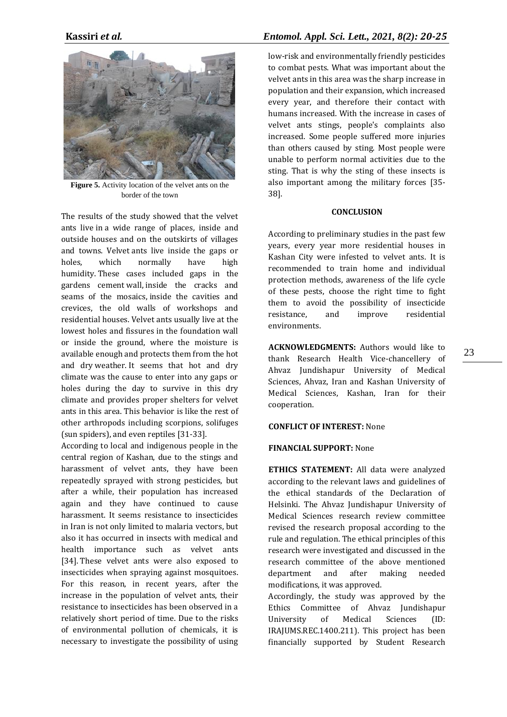

**Figure 5.** Activity location of the velvet ants on the border of the town

The results of the study showed that the velvet ants live in a wide range of places, inside and outside houses and on the outskirts of villages and towns. Velvet ants live inside the gaps or holes, which normally have high humidity. These cases included gaps in the gardens cement wall, inside the cracks and seams of the mosaics, inside the cavities and crevices, the old walls of workshops and residential houses. Velvet ants usually live at the lowest holes and fissures in the foundation wall or inside the ground, where the moisture is available enough and protects them from the hot and dry weather. It seems that hot and dry climate was the cause to enter into any gaps or holes during the day to survive in this dry climate and provides proper shelters for velvet ants in this area. This behavior is like the rest of other arthropods including scorpions, solifuges (sun spiders), and even reptiles [31-33].

According to local and indigenous people in the central region of Kashan, due to the stings and harassment of velvet ants, they have been repeatedly sprayed with strong pesticides, but after a while, their population has increased again and they have continued to cause harassment. It seems resistance to insecticides in Iran is not only limited to malaria vectors, but also it has occurred in insects with medical and health importance such as velvet ants [34]. These velvet ants were also exposed to insecticides when spraying against mosquitoes. For this reason, in recent years, after the increase in the population of velvet ants, their resistance to insecticides has been observed in a relatively short period of time. Due to the risks of environmental pollution of chemicals, it is necessary to investigate the possibility of using

# **Kassiri** *et al.**Entomol. Appl. Sci. Lett., 2021, 8(2): 20-25*

low-risk and environmentally friendly pesticides to combat pests. What was important about the velvet ants in this area was the sharp increase in population and their expansion, which increased every year, and therefore their contact with humans increased. With the increase in cases of velvet ants stings, people's complaints also increased. Some people suffered more injuries than others caused by sting. Most people were unable to perform normal activities due to the sting. That is why the sting of these insects is also important among the military forces [35- 38].

### **CONCLUSION**

According to preliminary studies in the past few years, every year more residential houses in Kashan City were infested to velvet ants. It is recommended to train home and individual protection methods, awareness of the life cycle of these pests, choose the right time to fight them to avoid the possibility of insecticide resistance, and improve residential environments.

**ACKNOWLEDGMENTS:** Authors would like to thank Research Health Vice-chancellery of Ahvaz Jundishapur University of Medical Sciences, Ahvaz, Iran and Kashan University of Medical Sciences, Kashan, Iran for their cooperation.

## **CONFLICT OF INTEREST:** None

### **FINANCIAL SUPPORT:** None

**ETHICS STATEMENT:** All data were analyzed according to the relevant laws and guidelines of the ethical standards of the Declaration of Helsinki. The Ahvaz Jundishapur University of Medical Sciences research review committee revised the research proposal according to the rule and regulation. The ethical principles of this research were investigated and discussed in the research committee of the above mentioned department and after making needed modifications, it was approved.

Accordingly, the study was approved by the Ethics Committee of Ahvaz Jundishapur University of Medical Sciences (ID: IRAJUMS.REC.1400.211). This project has been financially supported by Student Research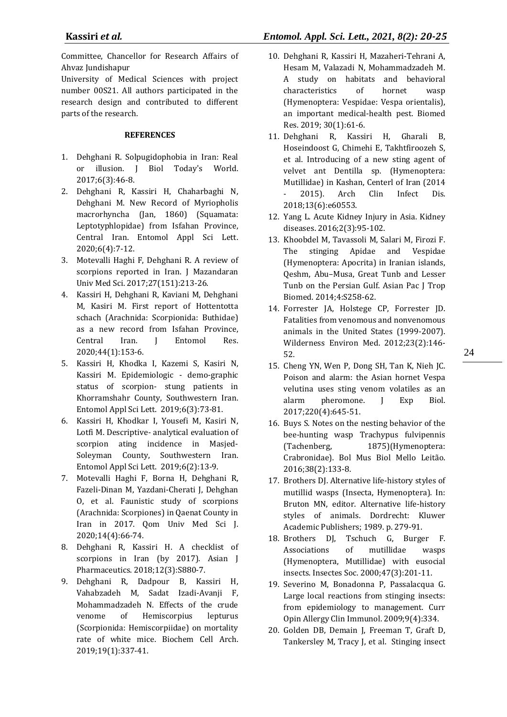Committee, Chancellor for Research Affairs of Ahvaz Jundishapur

University of Medical Sciences with project number 00S21. All authors participated in the research design and contributed to different parts of the research.

### **REFERENCES**

- 1. Dehghani R. Solpugidophobia in Iran: Real or illusion. J Biol Today's World. 2017;6(3):46-8.
- 2. Dehghani R, Kassiri H, Chaharbaghi N, Dehghani M. New Record of Myriopholis macrorhyncha (Jan, 1860) (Squamata: Leptotyphlopidae) from Isfahan Province, Central Iran. Entomol Appl Sci Lett. 2020;6(4):7-12.
- 3. Motevalli Haghi F, Dehghani R. A review of scorpions reported in Iran. J Mazandaran Univ Med Sci. 2017;27(151):213-26.
- 4. Kassiri H, Dehghani R, Kaviani M, Dehghani M, Kasiri M. First report of Hottentotta schach (Arachnida: Scorpionida: Buthidae) as a new record from Isfahan Province, Central Iran. J Entomol Res. 2020;44(1):153-6.
- 5. Kassiri H, Khodka I, Kazemi S, Kasiri N, Kassiri M. Epidemiologic - demo-graphic status of scorpion- stung patients in Khorramshahr County, Southwestern Iran. Entomol Appl Sci Lett. 2019;6(3):73-81.
- 6. Kassiri H, Khodkar I, Yousefi M, Kasiri N, Lotfi M. Descriptive- analytical evaluation of scorpion ating incidence in Masjed-Soleyman County, Southwestern Iran. Entomol Appl Sci Lett. 2019;6(2):13-9.
- 7. Motevalli Haghi F, Borna H, Dehghani R, Fazeli-Dinan M, Yazdani-Cherati J, Dehghan O, et al. Faunistic study of scorpions (Arachnida: Scorpiones) in Qaenat County in Iran in 2017. Qom Univ Med Sci J. 2020;14(4):66-74.
- 8. Dehghani R, Kassiri H. A checklist of scorpions in Iran (by 2017). Asian J Pharmaceutics. 2018;12(3):S880-7.
- 9. Dehghani R, Dadpour B, Kassiri H, Vahabzadeh M, Sadat Izadi-Avanji F, Mohammadzadeh N. Effects of the crude venome of Hemiscorpius lepturus (Scorpionida: Hemiscorpiidae) on mortality rate of white mice. Biochem Cell Arch. 2019;19(1):337-41.
- 10. Dehghani R, Kassiri H, Mazaheri-Tehrani A, Hesam M, Valazadi N, Mohammadzadeh M. A study on habitats and behavioral characteristics of hornet wasp (Hymenoptera: Vespidae: Vespa orientalis), an important medical-health pest. Biomed Res. 2019; 30(1):61-6.
- 11. Dehghani R, Kassiri H, Gharali B, Hoseindoost G, Chimehi E, Takhtfiroozeh S, et al. Introducing of a new sting agent of velvet ant Dentilla sp. (Hymenoptera: Mutillidae) in Kashan, Centerl of Iran (2014 2015). Arch Clin Infect Dis. 2018;13(6):e60553.
- 12. Yang L. Acute Kidney Injury in Asia. Kidney diseases. 2016;2(3):95-102.
- 13. Khoobdel M, Tavassoli M, Salari M, Firozi F. The stinging Apidae and Vespidae (Hymenoptera: Apocrita) in Iranian islands, Qeshm, Abu–Musa, Great Tunb and Lesser Tunb on the Persian Gulf. Asian Pac J Trop Biomed. 2014;4:S258-62.
- 14. Forrester JA, Holstege CP, Forrester JD. Fatalities from venomous and nonvenomous animals in the United States (1999-2007). Wilderness Environ Med. 2012;23(2):146- 52.
- 15. Cheng YN, Wen P, Dong SH, Tan K, Nieh JC. Poison and alarm: the Asian hornet Vespa velutina uses sting venom volatiles as an alarm pheromone. J Exp Biol. 2017;220(4):645-51.
- 16. Buys S. Notes on the nesting behavior of the bee-hunting wasp Trachypus fulvipennis (Tachenberg, 1875)(Hymenoptera: Crabronidae). Bol Mus Biol Mello Leitão. 2016;38(2):133-8.
- 17. Brothers DJ. Alternative life-history styles of mutillid wasps (Insecta, Hymenoptera). In: Bruton MN, editor. Alternative life-history styles of animals. Dordrecht: Kluwer Academic Publishers; 1989. p. 279-91.
- 18. Brothers DJ, Tschuch G, Burger F. Associations of mutillidae wasps (Hymenoptera, Mutillidae) with eusocial insects. Insectes Soc. 2000;47(3):201-11.
- 19. Severino M, Bonadonna P, Passalacqua G. Large local reactions from stinging insects: from epidemiology to management. Curr Opin Allergy Clin Immunol. 2009;9(4):334.
- 20. Golden DB, Demain J, Freeman T, Graft D, Tankersley M, Tracy J, et al. Stinging insect